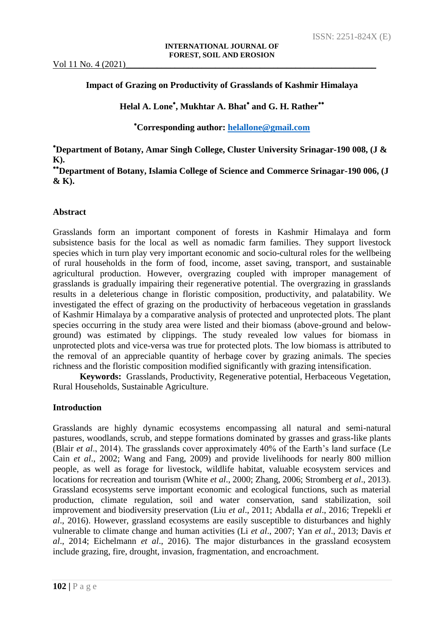## **Impact of Grazing on Productivity of Grasslands of Kashmir Himalaya**

# **Helal A. Lone , Mukhtar A. Bhat and G. H. Rather**

**Corresponding author: [helallone@gmail.com](mailto:helallone@gmail.com)**

**Department of Botany, Amar Singh College, Cluster University Srinagar-190 008, (J & K).**

**Department of Botany, Islamia College of Science and Commerce Srinagar-190 006, (J & K).**

## **Abstract**

Grasslands form an important component of forests in Kashmir Himalaya and form subsistence basis for the local as well as nomadic farm families. They support livestock species which in turn play very important economic and socio-cultural roles for the wellbeing of rural households in the form of food, income, asset saving, transport, and sustainable agricultural production. However, overgrazing coupled with improper management of grasslands is gradually impairing their regenerative potential. The overgrazing in grasslands results in a deleterious change in floristic composition, productivity, and palatability. We investigated the effect of grazing on the productivity of herbaceous vegetation in grasslands of Kashmir Himalaya by a comparative analysis of protected and unprotected plots. The plant species occurring in the study area were listed and their biomass (above-ground and belowground) was estimated by clippings. The study revealed low values for biomass in unprotected plots and vice-versa was true for protected plots. The low biomass is attributed to the removal of an appreciable quantity of herbage cover by grazing animals. The species richness and the floristic composition modified significantly with grazing intensification.

**Keywords:** Grasslands, Productivity, Regenerative potential, Herbaceous Vegetation, Rural Households, Sustainable Agriculture.

## **Introduction**

Grasslands are highly dynamic ecosystems encompassing all natural and semi-natural pastures, woodlands, scrub, and steppe formations dominated by grasses and grass-like plants (Blair *et al*., 2014). The grasslands cover approximately 40% of the Earth's land surface (Le Cain *et al*., 2002; Wang and Fang, 2009) and provide livelihoods for nearly 800 million people, as well as forage for livestock, wildlife habitat, valuable ecosystem services and locations for recreation and tourism (White *et al*., 2000; Zhang, 2006; Stromberg *et al*., 2013). Grassland ecosystems serve important economic and ecological functions, such as material production, climate regulation, soil and water conservation, sand stabilization, soil improvement and biodiversity preservation (Liu *et al*., 2011; Abdalla *et al*., 2016; Trepekli *et al*., 2016). However, grassland ecosystems are easily susceptible to disturbances and highly vulnerable to climate change and human activities (Li *et al*., 2007; Yan *et al*., 2013; Davis *et al*., 2014; Eichelmann *et al*., 2016). The major disturbances in the grassland ecosystem include grazing, fire, drought, invasion, fragmentation, and encroachment.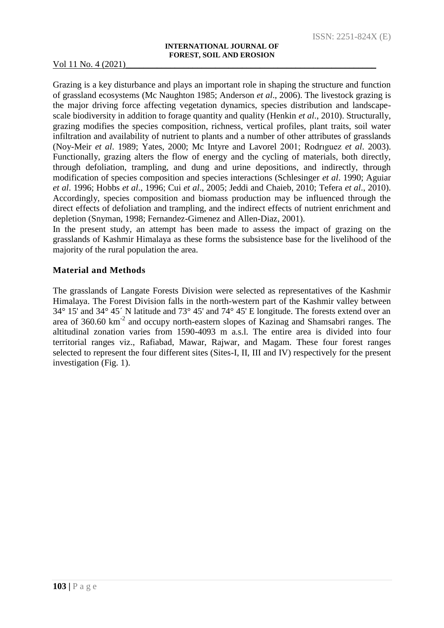Grazing is a key disturbance and plays an important role in shaping the structure and function of grassland ecosystems (Mc Naughton 1985; Anderson *et al*., 2006). The livestock grazing is the major driving force affecting vegetation dynamics, species distribution and landscapescale biodiversity in addition to forage quantity and quality (Henkin *et al*., 2010). Structurally, grazing modifies the species composition, richness, vertical profiles, plant traits, soil water infiltration and availability of nutrient to plants and a number of other attributes of grasslands (Noy-Meir *et al*. 1989; Yates, 2000; Mc Intyre and Lavorel 2001; Rodrıguez *et al*. 2003). Functionally, grazing alters the flow of energy and the cycling of materials, both directly, through defoliation, trampling, and dung and urine depositions, and indirectly, through modification of species composition and species interactions (Schlesinger *et al*. 1990; Aguiar *et al*. 1996; Hobbs *et al*., 1996; Cui *et al*., 2005; Jeddi and Chaieb, 2010; Tefera *et al*., 2010). Accordingly, species composition and biomass production may be influenced through the direct effects of defoliation and trampling, and the indirect effects of nutrient enrichment and depletion (Snyman, 1998; Fernandez-Gimenez and Allen-Diaz, 2001).

In the present study, an attempt has been made to assess the impact of grazing on the grasslands of Kashmir Himalaya as these forms the subsistence base for the livelihood of the majority of the rural population the area.

## **Material and Methods**

The grasslands of Langate Forests Division were selected as representatives of the Kashmir Himalaya. The Forest Division falls in the north-western part of the Kashmir valley between 34° 15' and 34° 45´ N latitude and 73° 45' and 74° 45' E longitude. The forests extend over an area of  $360.60 \text{ km}^2$  and occupy north-eastern slopes of Kazinag and Shamsabri ranges. The altitudinal zonation varies from 1590-4093 m a.s.l. The entire area is divided into four territorial ranges viz., Rafiabad, Mawar, Rajwar, and Magam. These four forest ranges selected to represent the four different sites (Sites-I, II, III and IV) respectively for the present investigation (Fig. 1).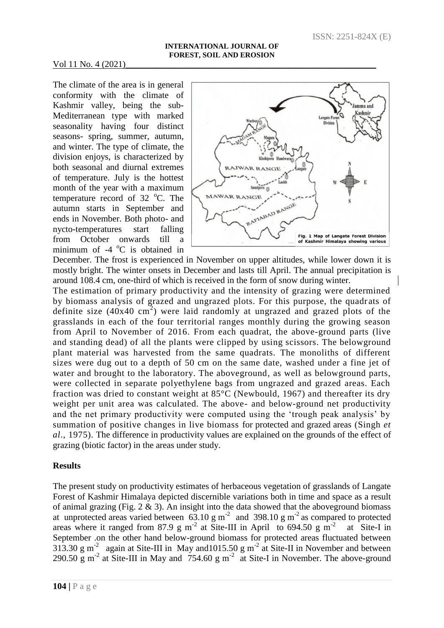The climate of the area is in general conformity with the climate of Kashmir valley, being the sub-Mediterranean type with marked seasonality having four distinct seasons- spring, summer, autumn, and winter. The type of climate, the division enjoys, is characterized by both seasonal and diurnal extremes of temperature. July is the hottest month of the year with a maximum temperature record of  $32 \degree$ C. The autumn starts in September and ends in November. Both photo- and nycto-temperatures start falling from October onwards till a minimum of  $-4$  °C is obtained in



December. The frost is experienced in November on upper altitudes, while lower down it is mostly bright. The winter onsets in December and lasts till April. The annual precipitation is around 108.4 cm, one-third of which is received in the form of snow during winter.

The estimation of primary productivity and the intensity of grazing were determined by biomass analysis of grazed and ungrazed plots. For this purpose, the quadr ats of definite size (40x40 cm<sup>2</sup>) were laid randomly at ungrazed and grazed plots of the grasslands in each of the four territorial ranges monthly during the growing season from April to November of 2016. From each quadrat, the above-ground parts (live and standing dead) of all the plants were clipped by using scissors. The belowground plant material was harvested from the same quadrats. The monoliths of different sizes were dug out to a depth of 50 cm on the same date, washed under a fine jet of water and brought to the laboratory. The aboveground, as well as belowground parts, were collected in separate polyethylene bags from ungrazed and grazed areas. Each fraction was dried to constant weight at 85°C (Newbould, 1967) and thereafter its dry weight per unit area was calculated. The above- and below-ground net productivity and the net primary productivity were computed using the 'trough peak analysis' by summation of positive changes in live biomass for protected and grazed areas (Singh *et al*., 1975). The difference in productivity values are explained on the grounds of the effect of grazing (biotic factor) in the areas under study.

## **Results**

The present study on productivity estimates of herbaceous vegetation of grasslands of Langate Forest of Kashmir Himalaya depicted discernible variations both in time and space as a result of animal grazing (Fig.  $2 \& 3$ ). An insight into the data showed that the aboveground biomass at unprotected areas varied between  $63.10 \text{ g m}^2$  and 398.10 g m<sup>-2</sup> as compared to protected areas where it ranged from 87.9 g m<sup>-2</sup> at Site-III in April to 694.50 g m<sup>-2</sup> at Site-I in September .on the other hand below-ground biomass for protected areas fluctuated between 313.30 g m<sup>-2</sup> again at Site-III in May and 1015.50 g m<sup>-2</sup> at Site-II in November and between 290.50  $\rm g$  m<sup>-2</sup> at Site-III in May and 754.60  $\rm g$  m<sup>-2</sup> at Site-I in November. The above-ground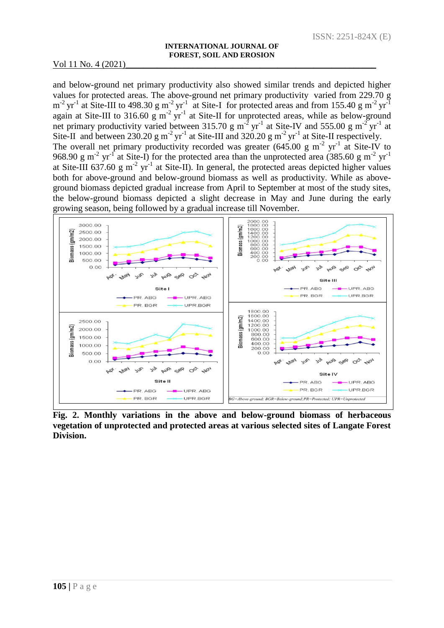and below-ground net primary productivity also showed similar trends and depicted higher values for protected areas. The above-ground net primary productivity varied from 229.70 g  $m^{-2}$  yr<sup>-1</sup> at Site-III to 498.30 g m<sup>-2</sup> yr<sup>-1</sup> at Site-I for protected areas and from 155.40 g m<sup>-2</sup> yr<sup>-1</sup> again at Site-III to 316.60  $\frac{g}{g}$  m<sup>-2</sup> yr<sup>-1</sup> at Site-II for unprotected areas, while as below-ground net primary productivity varied between 315.70 g m<sup>-2</sup> yr<sup>-1</sup> at Site-IV and 555.00 g m<sup>-2</sup> yr<sup>-1</sup> at Site-II and between 230.20 g m<sup>-2</sup> yr<sup>-1</sup> at Site-III and 320.20 g m<sup>-2</sup> yr<sup>-1</sup> at Site-II respectively. The overall net primary productivity recorded was greater  $(645.00 \text{ g m}^{-2} \text{ yr}^{-1})$  at Site-IV to 968.90 g m<sup>-2</sup> yr<sup>-1</sup> at Site-I) for the protected area than the unprotected area (385.60 g m<sup>-2</sup> yr<sup>-1</sup> at Site-III 637.60 g m<sup>-2</sup> yr<sup>-1</sup> at Site-II). In general, the protected areas depicted higher values both for above-ground and below-ground biomass as well as productivity. While as aboveground biomass depicted gradual increase from April to September at most of the study sites, the below-ground biomass depicted a slight decrease in May and June during the early growing season, being followed by a gradual increase till November.



**Fig. 2. Monthly variations in the above and below-ground biomass of herbaceous vegetation of unprotected and protected areas at various selected sites of Langate Forest Division.**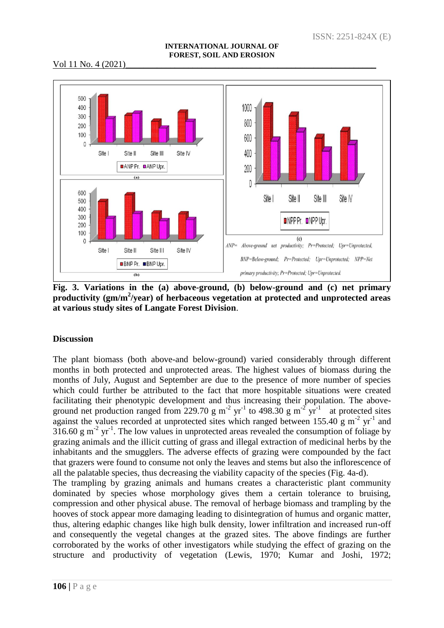#### **INTERNATIONAL JOURNAL OF FOREST, SOIL AND EROSION**

## Vol 11 No. 4 (2021)



**Fig. 3. Variations in the (a) above-ground, (b) below-ground and (c) net primary**  productivity (gm/m<sup>2</sup>/year) of herbaceous vegetation at protected and unprotected areas **at various study sites of Langate Forest Division**.

# **Discussion**

The plant biomass (both above-and below-ground) varied considerably through different months in both protected and unprotected areas. The highest values of biomass during the months of July, August and September are due to the presence of more number of species which could further be attributed to the fact that more hospitable situations were created facilitating their phenotypic development and thus increasing their population. The aboveground net production ranged from 229.70 g m<sup>-2</sup> yr<sup>-1</sup> to 498.30 g m<sup>-2</sup> yr<sup>-1</sup> at protected sites against the values recorded at unprotected sites which ranged between  $155.40 \text{ g m}^{-2} \text{ yr}^{-1}$  and  $316.60 \text{ g m}^2 \text{ yr}^1$ . The low values in unprotected areas revealed the consumption of foliage by grazing animals and the illicit cutting of grass and illegal extraction of medicinal herbs by the inhabitants and the smugglers. The adverse effects of grazing were compounded by the fact that grazers were found to consume not only the leaves and stems but also the inflorescence of all the palatable species, thus decreasing the viability capacity of the species (Fig. 4a-d).

The trampling by grazing animals and humans creates a characteristic plant community dominated by species whose morphology gives them a certain tolerance to bruising, compression and other physical abuse. The removal of herbage biomass and trampling by the hooves of stock appear more damaging leading to disintegration of humus and organic matter, thus, altering edaphic changes like high bulk density, lower infiltration and increased run-off and consequently the vegetal changes at the grazed sites. The above findings are further corroborated by the works of other investigators while studying the effect of grazing on the structure and productivity of vegetation (Lewis, 1970; Kumar and Joshi, 1972;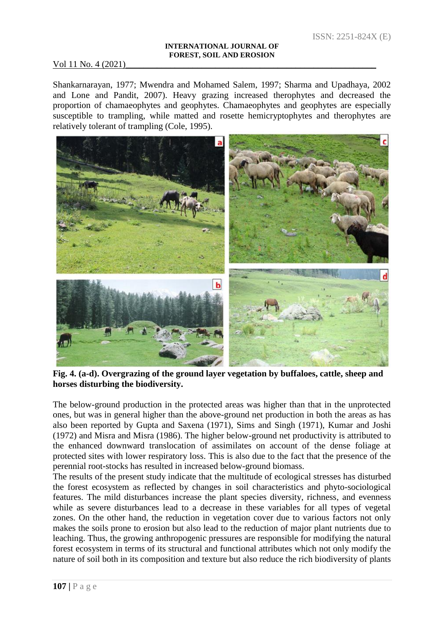#### **INTERNATIONAL JOURNAL OF FOREST, SOIL AND EROSION**

### Vol 11 No. 4 (2021)

Shankarnarayan, 1977; Mwendra and Mohamed Salem, 1997; Sharma and Upadhaya, 2002 and Lone and Pandit, 2007). Heavy grazing increased therophytes and decreased the proportion of chamaeophytes and geophytes. Chamaeophytes and geophytes are especially susceptible to trampling, while matted and rosette hemicryptophytes and therophytes are relatively tolerant of trampling (Cole, 1995).



**Fig. 4. (a-d). Overgrazing of the ground layer vegetation by buffaloes, cattle, sheep and horses disturbing the biodiversity.**

The below-ground production in the protected areas was higher than that in the unprotected ones, but was in general higher than the above-ground net production in both the areas as has also been reported by Gupta and Saxena (1971), Sims and Singh (1971), Kumar and Joshi (1972) and Misra and Misra (1986). The higher below-ground net productivity is attributed to the enhanced downward translocation of assimilates on account of the dense foliage at protected sites with lower respiratory loss. This is also due to the fact that the presence of the perennial root-stocks has resulted in increased below-ground biomass.

The results of the present study indicate that the multitude of ecological stresses has disturbed the forest ecosystem as reflected by changes in soil characteristics and phyto-sociological features. The mild disturbances increase the plant species diversity, richness, and evenness while as severe disturbances lead to a decrease in these variables for all types of vegetal zones. On the other hand, the reduction in vegetation cover due to various factors not only makes the soils prone to erosion but also lead to the reduction of major plant nutrients due to leaching. Thus, the growing anthropogenic pressures are responsible for modifying the natural forest ecosystem in terms of its structural and functional attributes which not only modify the nature of soil both in its composition and texture but also reduce the rich biodiversity of plants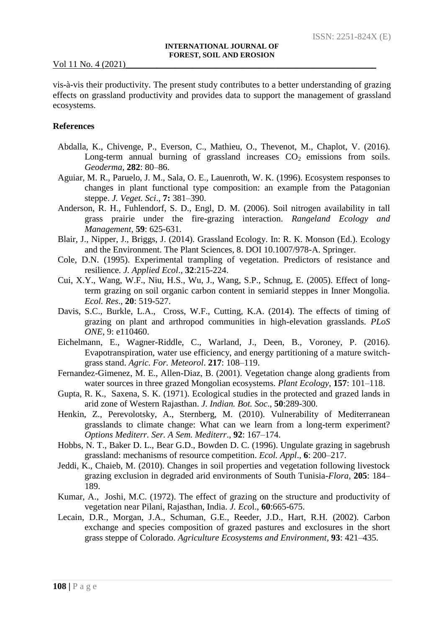vis-à-vis their productivity. The present study contributes to a better understanding of grazing effects on grassland productivity and provides data to support the management of grassland ecosystems.

#### **References**

- Abdalla, K., Chivenge, P., Everson, C., Mathieu, O., Thevenot, M., Chaplot, V. (2016). Long-term annual burning of grassland increases  $CO<sub>2</sub>$  emissions from soils. *Geoderma*, **282**: 80–86.
- Aguiar, M. R., Paruelo, J. M., Sala, O. E., Lauenroth, W. K. (1996). Ecosystem responses to changes in plant functional type composition: an example from the Patagonian steppe. *J. Veget. Sci*., **7:** 381–390.
- Anderson, R. H., Fuhlendorf, S. D., Engl, D. M. (2006). Soil nitrogen availability in tall grass prairie under the fire-grazing interaction. *Rangeland Ecology and Management*, **59**: 625-631.
- Blair, J., Nipper, J., Briggs, J. (2014). Grassland Ecology. In: R. K. Monson (Ed.). Ecology and the Environment. The Plant Sciences, 8. DOI 10.1007/978-A. Springer.
- Cole, D.N. (1995). Experimental trampling of vegetation. Predictors of resistance and resilience. *J. Applied Ecol*., **32**:215-224.
- Cui, X.Y., Wang, W.F., Niu, H.S., Wu, J., Wang, S.P., Schnug, E. (2005). Effect of longterm grazing on soil organic carbon content in semiarid steppes in Inner Mongolia. *Ecol. Res*., **20**: 519-527.
- Davis, S.C., Burkle, L.A., Cross, W.F., Cutting, K.A. (2014). The effects of timing of grazing on plant and arthropod communities in high-elevation grasslands. *PLoS ONE*, 9: e110460.
- Eichelmann, E., Wagner-Riddle, C., Warland, J., Deen, B., Voroney, P. (2016). Evapotranspiration, water use efficiency, and energy partitioning of a mature switchgrass stand. *Agric. For. Meteorol*. **217**: 108–119.
- Fernandez-Gimenez, M. E., Allen-Diaz, B. (2001). Vegetation change along gradients from water sources in three grazed Mongolian ecosystems. *Plant Ecology*, **157**: 101–118.
- Gupta, R. K., Saxena, S. K. (1971). Ecological studies in the protected and grazed lands in arid zone of Western Rajasthan. *J. Indian. Bot. Soc*., **50**:289-300.
- Henkin, Z., Perevolotsky, A., Sternberg, M. (2010). Vulnerability of Mediterranean grasslands to climate change: What can we learn from a long-term experiment? *Options Mediterr. Ser. A Sem. Mediterr*., **92**: 167–174.
- Hobbs, N. T., Baker D. L., Bear G.D., Bowden D. C. (1996). Ungulate grazing in sagebrush grassland: mechanisms of resource competition. *Ecol. Appl*., **6**: 200–217.
- Jeddi, K., Chaieb, M. (2010). Changes in soil properties and vegetation following livestock grazing exclusion in degraded arid environments of South Tunisia-*Flora*, **205**: 184– 189.
- Kumar, A., Joshi, M.C. (1972). The effect of grazing on the structure and productivity of vegetation near Pilani, Rajasthan, India. *J. Eco*l., **60**:665-675.
- Lecain, D.R., Morgan, J.A., Schuman, G.E., Reeder, J.D., Hart, R.H. (2002). Carbon exchange and species composition of grazed pastures and exclosures in the short grass steppe of Colorado. *Agriculture Ecosystems and Environment*, **93**: 421–435.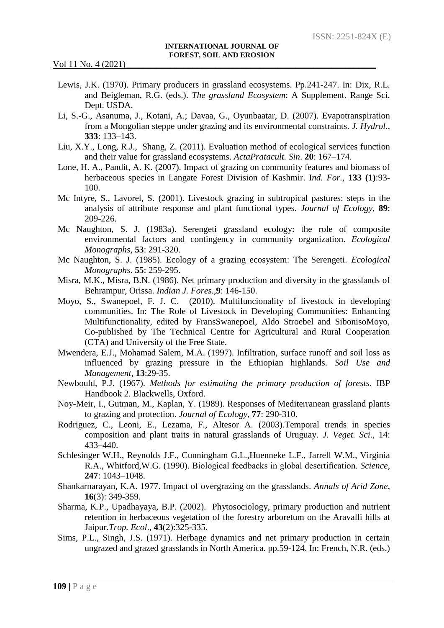- Lewis, J.K. (1970). Primary producers in grassland ecosystems. Pp.241-247. In: Dix, R.L. and Beigleman, R.G. (eds.). *The grassland Ecosystem*: A Supplement. Range Sci. Dept. USDA.
- Li, S.-G., Asanuma, J., Kotani, A.; Davaa, G., Oyunbaatar, D. (2007). Evapotranspiration from a Mongolian steppe under grazing and its environmental constraints. *J. Hydrol*., **333**: 133–143.
- Liu, X.Y., Long, R.J., Shang, Z. (2011). Evaluation method of ecological services function and their value for grassland ecosystems. *ActaPratacult. Sin*. **20**: 167–174.
- Lone, H. A., Pandit, A. K. (2007). Impact of grazing on community features and biomass of herbaceous species in Langate Forest Division of Kashmir. I*nd. For.*, **133 (1)**:93- 100.
- Mc Intyre, S., Lavorel, S. (2001). Livestock grazing in subtropical pastures: steps in the analysis of attribute response and plant functional types. *Journal of Ecology*, **89**: 209-226.
- Mc Naughton, S. J. (1983a). Serengeti grassland ecology: the role of composite environmental factors and contingency in community organization. *Ecological Monographs*, **53**: 291-320.
- Mc Naughton, S. J. (1985). Ecology of a grazing ecosystem: The Serengeti. *Ecological Monographs*. **55**: 259-295.
- Misra, M.K., Misra, B.N. (1986). Net primary production and diversity in the grasslands of Behrampur, Orissa. *Indian J. Fores*.,**9**: 146-150.
- Moyo, S., Swanepoel, F. J. C. (2010). Multifuncionality of livestock in developing communities. In: The Role of Livestock in Developing Communities: Enhancing Multifunctionality, edited by FransSwanepoel, Aldo Stroebel and SibonisoMoyo, Co-published by The Technical Centre for Agricultural and Rural Cooperation (CTA) and University of the Free State.
- Mwendera, E.J., Mohamad Salem, M.A. (1997). Infiltration, surface runoff and soil loss as influenced by grazing pressure in the Ethiopian highlands. *Soil Use and Management*, **13**:29-35.
- Newbould, P.J. (1967). *Methods for estimating the primary production of forests*. IBP Handbook 2. Blackwells, Oxford.
- Noy-Meir, I., Gutman, M., Kaplan, Y. (1989). Responses of Mediterranean grassland plants to grazing and protection. *Journal of Ecology*, **77**: 290-310.
- Rodriguez, C., Leoni, E., Lezama, F., Altesor A. (2003).Temporal trends in species composition and plant traits in natural grasslands of Uruguay. *J. Veget. Sci*., 14: 433–440.
- Schlesinger W.H., Reynolds J.F., Cunningham G.L.,Huenneke L.F., Jarrell W.M., Virginia R.A., Whitford,W.G. (1990). Biological feedbacks in global desertification. *Science*, **247**: 1043–1048.
- Shankarnarayan, K.A. 1977. Impact of overgrazing on the grasslands. *Annals of Arid Zone*, **16**(3): 349-359.
- Sharma, K.P., Upadhayaya, B.P. (2002). Phytosociology, primary production and nutrient retention in herbaceous vegetation of the forestry arboretum on the Aravalli hills at Jaipur.*Trop. Ecol*., **43**(2):325-335.
- Sims, P.L., Singh, J.S. (1971). Herbage dynamics and net primary production in certain ungrazed and grazed grasslands in North America. pp.59-124. In: French, N.R. (eds.)